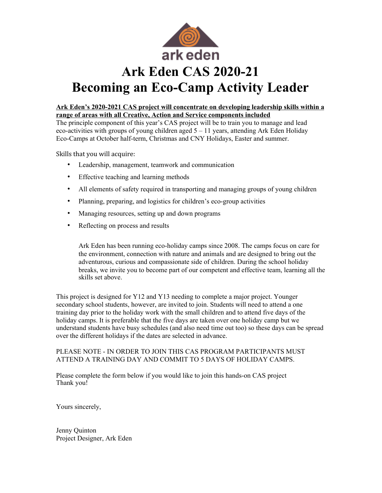

# **Ark Eden's 2020-2021 CAS project will concentrate on developing leadership skills within a range of areas with all Creative, Action and Service components included**

The principle component of this year's CAS project will be to train you to manage and lead eco-activities with groups of young children aged  $5 - 11$  years, attending Ark Eden Holiday Eco-Camps at October half-term, Christmas and CNY Holidays, Easter and summer.

Skills that you will acquire:

- Leadership, management, teamwork and communication
- Effective teaching and learning methods
- All elements of safety required in transporting and managing groups of young children
- Planning, preparing, and logistics for children's eco-group activities
- Managing resources, setting up and down programs
- Reflecting on process and results

Ark Eden has been running eco-holiday camps since 2008. The camps focus on care for the environment, connection with nature and animals and are designed to bring out the adventurous, curious and compassionate side of children. During the school holiday breaks, we invite you to become part of our competent and effective team, learning all the skills set above.

This project is designed for Y12 and Y13 needing to complete a major project. Younger secondary school students, however, are invited to join. Students will need to attend a one training day prior to the holiday work with the small children and to attend five days of the holiday camps. It is preferable that the five days are taken over one holiday camp but we understand students have busy schedules (and also need time out too) so these days can be spread over the different holidays if the dates are selected in advance.

# PLEASE NOTE - IN ORDER TO JOIN THIS CAS PROGRAM PARTICIPANTS MUST ATTEND A TRAINING DAY AND COMMIT TO 5 DAYS OF HOLIDAY CAMPS.

Please complete the form below if you would like to join this hands-on CAS project Thank you!

Yours sincerely,

Jenny Quinton Project Designer, Ark Eden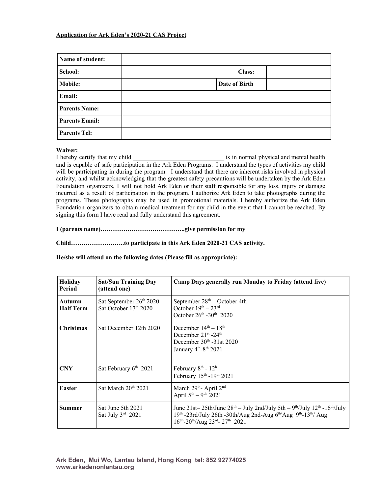## **Application for Ark Eden's 2020-21 CAS Project**

| Name of student:      |               |
|-----------------------|---------------|
| School:               | <b>Class:</b> |
| <b>Mobile:</b>        | Date of Birth |
| Email:                |               |
| <b>Parents Name:</b>  |               |
| <b>Parents Email:</b> |               |
| <b>Parents Tel:</b>   |               |

**Waiver:**<br>I hereby certify that my child is in normal physical and mental health and is capable of safe participation in the Ark Eden Programs. I understand the types of activities my child will be participating in during the program. I understand that there are inherent risks involved in physical activity, and whilst acknowledging that the greatest safety precautions will be undertaken by the Ark Eden Foundation organizers, I will not hold Ark Eden or their staff responsible for any loss, injury or damage incurred as a result of participation in the program. I authorize Ark Eden to take photographs during the programs. These photographs may be used in promotional materials. I hereby authorize the Ark Eden Foundation organizers to obtain medical treatment for my child in the event that I cannot be reached. By signing this form I have read and fully understand this agreement.

## **I (parents name)…………………………………..give permission for my**

**Child……………………..to participate in this Ark Eden 2020-21 CAS activity.**

# **He/she will attend on the following dates (Please fill as appropriate):**

| Holiday<br>Period          | <b>Sat/Sun Training Day</b><br>(attend one)                  | Camp Days generally run Monday to Friday (attend five)                                                                                                                                                                                    |
|----------------------------|--------------------------------------------------------------|-------------------------------------------------------------------------------------------------------------------------------------------------------------------------------------------------------------------------------------------|
| Autumn<br><b>Half Term</b> | Sat September 26 <sup>th</sup> 2020<br>Sat October 17th 2020 | September $28th$ – October 4th<br>October $19th - 23rd$<br>October $26^{th}$ -30 <sup>th</sup> 2020                                                                                                                                       |
| <b>Christmas</b>           | Sat December 12th 2020                                       | December $14th - 18th$<br>December $21^{st}$ -24 <sup>th</sup><br>December $30th - 31$ st $2020$<br>January 4 <sup>th</sup> -8 <sup>th</sup> 2021                                                                                         |
| <b>CNY</b>                 | Sat February $6th$ 2021                                      | February $8^{th}$ - $12^{h}$ -<br>February 15th -19th 2021                                                                                                                                                                                |
| <b>Easter</b>              | Sat March $20th 2021$                                        | March 29 <sup>th</sup> - April 2 <sup>nd</sup><br>April $5^{th} - 9^{th}$ 2021                                                                                                                                                            |
| Summer                     | Sat June 5th 2021<br>Sat July $3rd$ 2021                     | June 21st- 25th/June $28^{th}$ - July 2nd/July 5th - 9 <sup>th</sup> /July 12 <sup>th</sup> -16 <sup>th</sup> /July<br>19th -23rd/July 26th -30th/Aug 2nd-Aug 6th/Aug 9th-13th/ Aug<br>$16^{8h} - 20^{th}/Aug$ $23^{rd} - 27^{th}$ $2021$ |